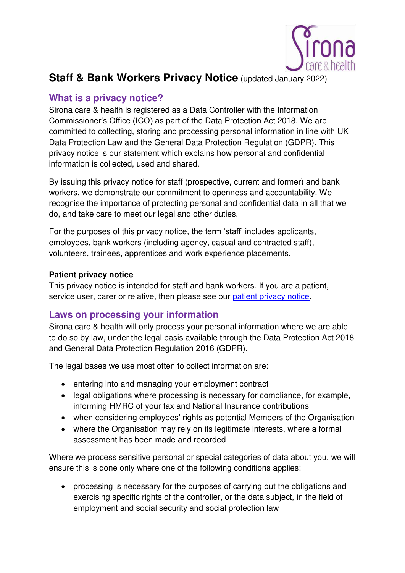

# **Staff & Bank Workers Privacy Notice (updated January 2022)**

### **What is a privacy notice?**

Sirona care & health is registered as a Data Controller with the Information Commissioner's Office (ICO) as part of the Data Protection Act 2018. We are committed to collecting, storing and processing personal information in line with UK Data Protection Law and the General Data Protection Regulation (GDPR). This privacy notice is our statement which explains how personal and confidential information is collected, used and shared.

By issuing this privacy notice for staff (prospective, current and former) and bank workers, we demonstrate our commitment to openness and accountability. We recognise the importance of protecting personal and confidential data in all that we do, and take care to meet our legal and other duties.

For the purposes of this privacy notice, the term 'staff' includes applicants, employees, bank workers (including agency, casual and contracted staff), volunteers, trainees, apprentices and work experience placements.

### **Patient privacy notice**

This privacy notice is intended for staff and bank workers. If you are a patient, service user, carer or relative, then please see our [patient privacy notice.](http://www.sirona-cic.org.uk/policies/)

## **Laws on processing your information**

Sirona care & health will only process your personal information where we are able to do so by law, under the legal basis available through the Data Protection Act 2018 and General Data Protection Regulation 2016 (GDPR).

The legal bases we use most often to collect information are:

- entering into and managing your employment contract
- legal obligations where processing is necessary for compliance, for example, informing HMRC of your tax and National Insurance contributions
- when considering employees' rights as potential Members of the Organisation
- where the Organisation may rely on its legitimate interests, where a formal assessment has been made and recorded

Where we process sensitive personal or special categories of data about you, we will ensure this is done only where one of the following conditions applies:

 processing is necessary for the purposes of carrying out the obligations and exercising specific rights of the controller, or the data subject, in the field of employment and social security and social protection law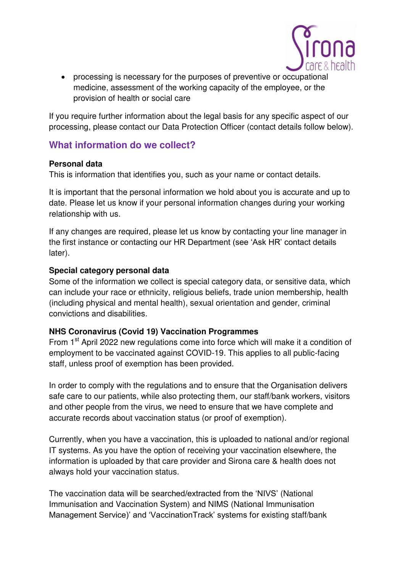

 processing is necessary for the purposes of preventive or occupational medicine, assessment of the working capacity of the employee, or the provision of health or social care

If you require further information about the legal basis for any specific aspect of our processing, please contact our Data Protection Officer (contact details follow below).

### **What information do we collect?**

### **Personal data**

This is information that identifies you, such as your name or contact details.

It is important that the personal information we hold about you is accurate and up to date. Please let us know if your personal information changes during your working relationship with us.

If any changes are required, please let us know by contacting your line manager in the first instance or contacting our HR Department (see 'Ask HR' contact details later).

### **Special category personal data**

Some of the information we collect is special category data, or sensitive data, which can include your race or ethnicity, religious beliefs, trade union membership, health (including physical and mental health), sexual orientation and gender, criminal convictions and disabilities.

### **NHS Coronavirus (Covid 19) Vaccination Programmes**

From 1<sup>st</sup> April 2022 new regulations come into force which will make it a condition of employment to be vaccinated against COVID-19. This applies to all public-facing staff, unless proof of exemption has been provided.

In order to comply with the regulations and to ensure that the Organisation delivers safe care to our patients, while also protecting them, our staff/bank workers, visitors and other people from the virus, we need to ensure that we have complete and accurate records about vaccination status (or proof of exemption).

Currently, when you have a vaccination, this is uploaded to national and/or regional IT systems. As you have the option of receiving your vaccination elsewhere, the information is uploaded by that care provider and Sirona care & health does not always hold your vaccination status.

The vaccination data will be searched/extracted from the 'NIVS' (National Immunisation and Vaccination System) and NIMS (National Immunisation Management Service)' and 'VaccinationTrack' systems for existing staff/bank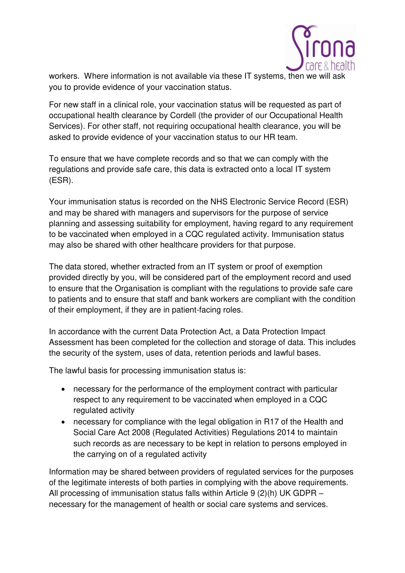

workers. Where information is not available via these IT systems, then we will ask you to provide evidence of your vaccination status.

For new staff in a clinical role, your vaccination status will be requested as part of occupational health clearance by Cordell (the provider of our Occupational Health Services). For other staff, not requiring occupational health clearance, you will be asked to provide evidence of your vaccination status to our HR team.

To ensure that we have complete records and so that we can comply with the regulations and provide safe care, this data is extracted onto a local IT system (ESR).

Your immunisation status is recorded on the NHS Electronic Service Record (ESR) and may be shared with managers and supervisors for the purpose of service planning and assessing suitability for employment, having regard to any requirement to be vaccinated when employed in a CQC regulated activity. Immunisation status may also be shared with other healthcare providers for that purpose.

The data stored, whether extracted from an IT system or proof of exemption provided directly by you, will be considered part of the employment record and used to ensure that the Organisation is compliant with the regulations to provide safe care to patients and to ensure that staff and bank workers are compliant with the condition of their employment, if they are in patient-facing roles.

In accordance with the current Data Protection Act, a Data Protection Impact Assessment has been completed for the collection and storage of data. This includes the security of the system, uses of data, retention periods and lawful bases.

The lawful basis for processing immunisation status is:

- necessary for the performance of the employment contract with particular respect to any requirement to be vaccinated when employed in a CQC regulated activity
- necessary for compliance with the legal obligation in R17 of the Health and Social Care Act 2008 (Regulated Activities) Regulations 2014 to maintain such records as are necessary to be kept in relation to persons employed in the carrying on of a regulated activity

Information may be shared between providers of regulated services for the purposes of the legitimate interests of both parties in complying with the above requirements. All processing of immunisation status falls within Article 9 (2)(h) UK GDPR – necessary for the management of health or social care systems and services.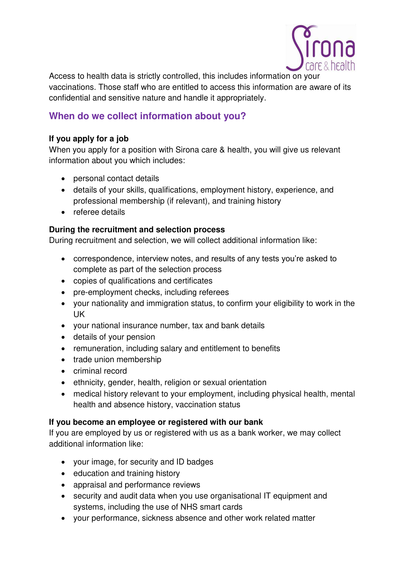

Access to health data is strictly controlled, this includes information on your vaccinations. Those staff who are entitled to access this information are aware of its confidential and sensitive nature and handle it appropriately.

## **When do we collect information about you?**

### **If you apply for a job**

When you apply for a position with Sirona care & health, you will give us relevant information about you which includes:

- personal contact details
- details of your skills, qualifications, employment history, experience, and professional membership (if relevant), and training history
- referee details

### **During the recruitment and selection process**

During recruitment and selection, we will collect additional information like:

- correspondence, interview notes, and results of any tests you're asked to complete as part of the selection process
- copies of qualifications and certificates
- pre-employment checks, including referees
- your nationality and immigration status, to confirm your eligibility to work in the UK
- your national insurance number, tax and bank details
- details of your pension
- remuneration, including salary and entitlement to benefits
- trade union membership
- criminal record
- ethnicity, gender, health, religion or sexual orientation
- medical history relevant to your employment, including physical health, mental health and absence history, vaccination status

### **If you become an employee or registered with our bank**

If you are employed by us or registered with us as a bank worker, we may collect additional information like:

- your image, for security and ID badges
- education and training history
- appraisal and performance reviews
- security and audit data when you use organisational IT equipment and systems, including the use of NHS smart cards
- your performance, sickness absence and other work related matter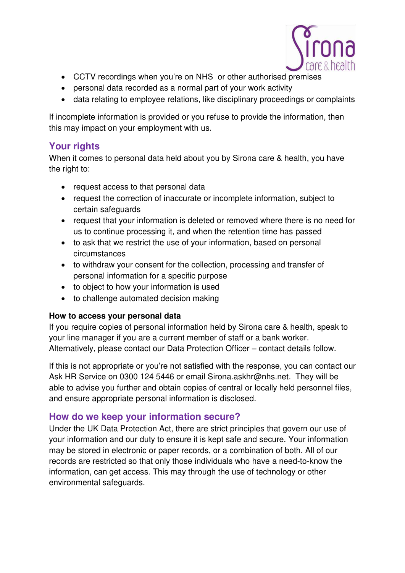

- CCTV recordings when you're on NHS or other authorised premises
- personal data recorded as a normal part of your work activity
- data relating to employee relations, like disciplinary proceedings or complaints

If incomplete information is provided or you refuse to provide the information, then this may impact on your employment with us.

## **Your rights**

When it comes to personal data held about you by Sirona care & health, you have the right to:

- request access to that personal data
- request the correction of inaccurate or incomplete information, subject to certain safeguards
- request that your information is deleted or removed where there is no need for us to continue processing it, and when the retention time has passed
- to ask that we restrict the use of your information, based on personal circumstances
- to withdraw your consent for the collection, processing and transfer of personal information for a specific purpose
- to object to how your information is used
- to challenge automated decision making

### **How to access your personal data**

If you require copies of personal information held by Sirona care & health, speak to your line manager if you are a current member of staff or a bank worker. Alternatively, please contact our Data Protection Officer – contact details follow.

If this is not appropriate or you're not satisfied with the response, you can contact our Ask HR Service on 0300 124 5446 or email Sirona.askhr@nhs.net. They will be able to advise you further and obtain copies of central or locally held personnel files, and ensure appropriate personal information is disclosed.

## **How do we keep your information secure?**

Under the UK Data Protection Act, there are strict principles that govern our use of your information and our duty to ensure it is kept safe and secure. Your information may be stored in electronic or paper records, or a combination of both. All of our records are restricted so that only those individuals who have a need-to-know the information, can get access. This may through the use of technology or other environmental safeguards.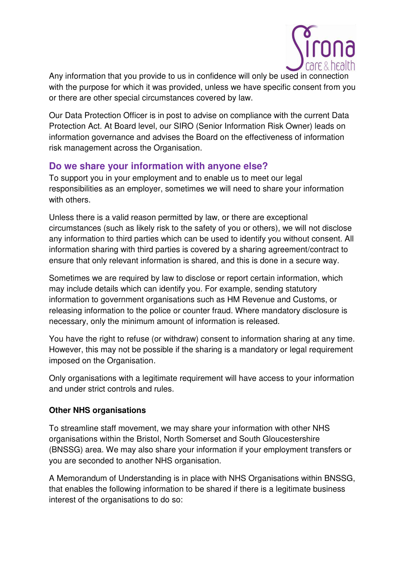

Any information that you provide to us in confidence will only be used in connection with the purpose for which it was provided, unless we have specific consent from you or there are other special circumstances covered by law.

Our Data Protection Officer is in post to advise on compliance with the current Data Protection Act. At Board level, our SIRO (Senior Information Risk Owner) leads on information governance and advises the Board on the effectiveness of information risk management across the Organisation.

## **Do we share your information with anyone else?**

To support you in your employment and to enable us to meet our legal responsibilities as an employer, sometimes we will need to share your information with others.

Unless there is a valid reason permitted by law, or there are exceptional circumstances (such as likely risk to the safety of you or others), we will not disclose any information to third parties which can be used to identify you without consent. All information sharing with third parties is covered by a sharing agreement/contract to ensure that only relevant information is shared, and this is done in a secure way.

Sometimes we are required by law to disclose or report certain information, which may include details which can identify you. For example, sending statutory information to government organisations such as HM Revenue and Customs, or releasing information to the police or counter fraud. Where mandatory disclosure is necessary, only the minimum amount of information is released.

You have the right to refuse (or withdraw) consent to information sharing at any time. However, this may not be possible if the sharing is a mandatory or legal requirement imposed on the Organisation.

Only organisations with a legitimate requirement will have access to your information and under strict controls and rules.

### **Other NHS organisations**

To streamline staff movement, we may share your information with other NHS organisations within the Bristol, North Somerset and South Gloucestershire (BNSSG) area. We may also share your information if your employment transfers or you are seconded to another NHS organisation.

A Memorandum of Understanding is in place with NHS Organisations within BNSSG, that enables the following information to be shared if there is a legitimate business interest of the organisations to do so: